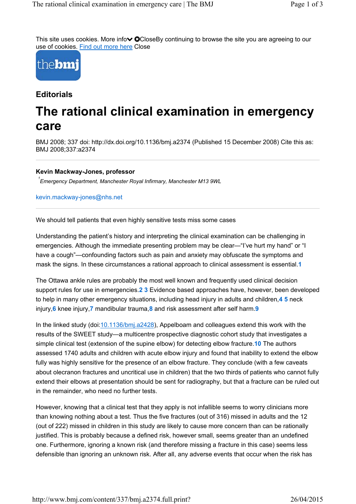This site uses cookies. More info $\sim$  OCloseBy continuing to browse the site you are agreeing to our use of cookies. Find out more here Close



#### **Editorials**

# **The rational clinical examination in emergency care**

BMJ 2008; 337 doi: http://dx.doi.org/10.1136/bmj.a2374 (Published 15 December 2008) Cite this as: BMJ 2008;337:a2374

#### **Kevin Mackway-Jones, professor**

*Emergency Department, Manchester Royal Infirmary, Manchester M13 9WL 1*

kevin.mackway-jones@nhs.net

We should tell patients that even highly sensitive tests miss some cases

Understanding the patient's history and interpreting the clinical examination can be challenging in emergencies. Although the immediate presenting problem may be clear—"I've hurt my hand" or "I have a cough"—confounding factors such as pain and anxiety may obfuscate the symptoms and mask the signs. In these circumstances a rational approach to clinical assessment is essential.**1**

The Ottawa ankle rules are probably the most well known and frequently used clinical decision support rules for use in emergencies.**2 3** Evidence based approaches have, however, been developed to help in many other emergency situations, including head injury in adults and children,**4 5** neck injury,**6** knee injury,**7** mandibular trauma,**8** and risk assessment after self harm.**9**

In the linked study (doi:10.1136/bmj.a2428), Appelboam and colleagues extend this work with the results of the SWEET study—a multicentre prospective diagnostic cohort study that investigates a simple clinical test (extension of the supine elbow) for detecting elbow fracture.**10** The authors assessed 1740 adults and children with acute elbow injury and found that inability to extend the elbow fully was highly sensitive for the presence of an elbow fracture. They conclude (with a few caveats about olecranon fractures and uncritical use in children) that the two thirds of patients who cannot fully extend their elbows at presentation should be sent for radiography, but that a fracture can be ruled out in the remainder, who need no further tests.

However, knowing that a clinical test that they apply is not infallible seems to worry clinicians more than knowing nothing about a test. Thus the five fractures (out of 316) missed in adults and the 12 (out of 222) missed in children in this study are likely to cause more concern than can be rationally justified. This is probably because a defined risk, however small, seems greater than an undefined one. Furthermore, ignoring a known risk (and therefore missing a fracture in this case) seems less defensible than ignoring an unknown risk. After all, any adverse events that occur when the risk has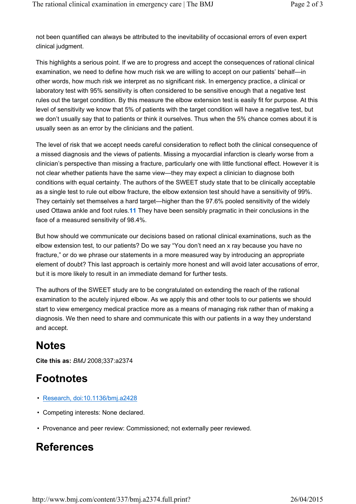not been quantified can always be attributed to the inevitability of occasional errors of even expert clinical judgment.

This highlights a serious point. If we are to progress and accept the consequences of rational clinical examination, we need to define how much risk we are willing to accept on our patients' behalf—in other words, how much risk we interpret as no significant risk. In emergency practice, a clinical or laboratory test with 95% sensitivity is often considered to be sensitive enough that a negative test rules out the target condition. By this measure the elbow extension test is easily fit for purpose. At this level of sensitivity we know that 5% of patients with the target condition will have a negative test, but we don't usually say that to patients or think it ourselves. Thus when the 5% chance comes about it is usually seen as an error by the clinicians and the patient.

The level of risk that we accept needs careful consideration to reflect both the clinical consequence of a missed diagnosis and the views of patients. Missing a myocardial infarction is clearly worse from a clinician's perspective than missing a fracture, particularly one with little functional effect. However it is not clear whether patients have the same view—they may expect a clinician to diagnose both conditions with equal certainty. The authors of the SWEET study state that to be clinically acceptable as a single test to rule out elbow fracture, the elbow extension test should have a sensitivity of 99%. They certainly set themselves a hard target—higher than the 97.6% pooled sensitivity of the widely used Ottawa ankle and foot rules.**11** They have been sensibly pragmatic in their conclusions in the face of a measured sensitivity of 98.4%.

But how should we communicate our decisions based on rational clinical examinations, such as the elbow extension test, to our patients? Do we say "You don't need an x ray because you have no fracture," or do we phrase our statements in a more measured way by introducing an appropriate element of doubt? This last approach is certainly more honest and will avoid later accusations of error, but it is more likely to result in an immediate demand for further tests.

The authors of the SWEET study are to be congratulated on extending the reach of the rational examination to the acutely injured elbow. As we apply this and other tools to our patients we should start to view emergency medical practice more as a means of managing risk rather than of making a diagnosis. We then need to share and communicate this with our patients in a way they understand and accept.

# **Notes**

**Cite this as:** *BMJ* 2008;337:a2374

## **Footnotes**

- Research, doi:10.1136/bmj.a2428
- Competing interests: None declared.
- Provenance and peer review: Commissioned; not externally peer reviewed.

### **References**